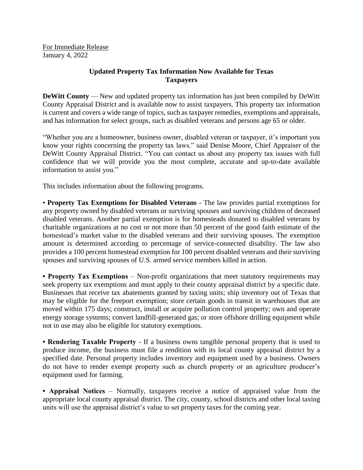For Immediate Release January 4, 2022

## **Updated Property Tax Information Now Available for Texas Taxpayers**

**DeWitt County** — New and updated property tax information has just been compiled by DeWitt County Appraisal District and is available now to assist taxpayers. This property tax information is current and covers a wide range of topics, such as taxpayer remedies, exemptions and appraisals, and has information for select groups, such as disabled veterans and persons age 65 or older.

"Whether you are a homeowner, business owner, disabled veteran or taxpayer, it's important you know your rights concerning the property tax laws." said Denise Moore, Chief Appraiser of the DeWitt County Appraisal District. "You can contact us about any property tax issues with full confidence that we will provide you the most complete, accurate and up-to-date available information to assist you."

This includes information about the following programs.

• **Property Tax Exemptions for Disabled Veterans** - The law provides partial exemptions for any property owned by disabled veterans or surviving spouses and surviving children of deceased disabled veterans. Another partial exemption is for homesteads donated to disabled veterans by charitable organizations at no cost or not more than 50 percent of the good faith estimate of the homestead's market value to the disabled veterans and their surviving spouses. The exemption amount is determined according to percentage of service-connected disability. The law also provides a 100 percent homestead exemption for 100 percent disabled veterans and their surviving spouses and surviving spouses of U.S. armed service members killed in action.

• **Property Tax Exemptions** – Non-profit organizations that meet statutory requirements may seek property tax exemptions and must apply to their county appraisal district by a specific date. Businesses that receive tax abatements granted by taxing units; ship inventory out of Texas that may be eligible for the freeport exemption; store certain goods in transit in warehouses that are moved within 175 days; construct, install or acquire pollution control property; own and operate energy storage systems; convert landfill-generated gas; or store offshore drilling equipment while not in use may also be eligible for statutory exemptions.

**• Rendering Taxable Property** - If a business owns tangible personal property that is used to produce income, the business must file a rendition with its local county appraisal district by a specified date. Personal property includes inventory and equipment used by a business. Owners do not have to render exempt property such as church property or an agriculture producer's equipment used for farming.

**• Appraisal Notices** – Normally, taxpayers receive a notice of appraised value from the appropriate local county appraisal district. The city, county, school districts and other local taxing units will use the appraisal district's value to set property taxes for the coming year.